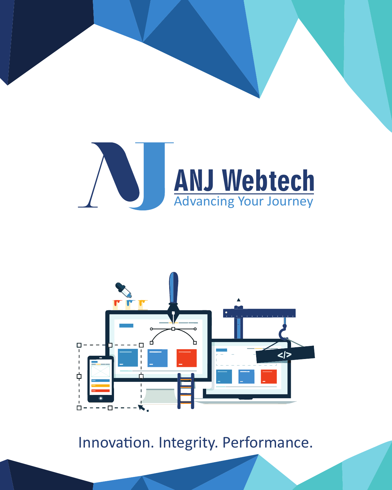



Innovation. Integrity. Performance.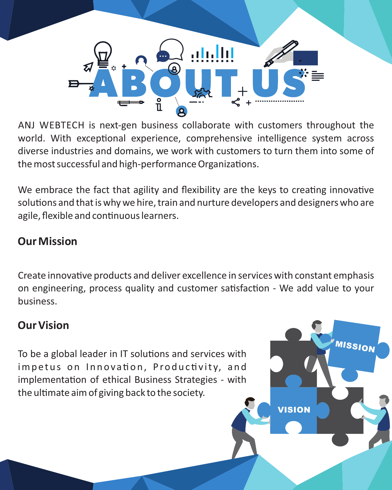

ANJ WEBTECH is next-gen business collaborate with customers throughout the world. With exceptional experience, comprehensive intelligence system across diverse industries and domains, we work with customers to turn them into some of the most successful and high-performance Organizations.

We embrace the fact that agility and flexibility are the keys to creating innovative solutions and that is why we hire, train and nurture developers and designers who are agile, flexible and continuous learners.

#### **Our Mission**

Create innovative products and deliver excellence in services with constant emphasis on engineering, process quality and customer satisfaction - We add value to your business.

VISION

MISSION

#### **Our Vision**

To be a global leader in IT solutions and services with impetus on Innovation, Productivity, and implementation of ethical Business Strategies - with the ultimate aim of giving back to the society.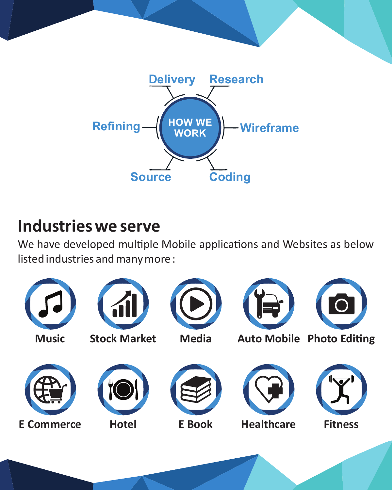

# **Industries we serve**

We have developed multiple Mobile applications and Websites as below listed industries and many more :

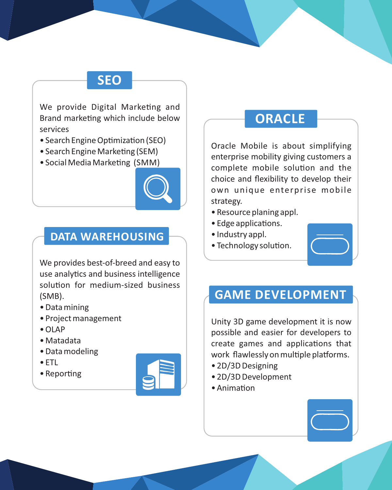## **SEO**

We provide Digital Marketing and Brand marketing which include below services

- Search Engine Optimization (SEO)
- Search Engine Marketing (SEM)
- Social Media Marketing (SMM)



#### **DATA WAREHOUSING**

We provides best-of-breed and easy to use analytics and business intelligence solution for medium-sized business (SMB).

- Data mining
- Project management
- OLAP
- Matadata
- Data modeling
- ETL
- Reporting



### **ORACLE**

Oracle Mobile is about simplifying enterprise mobility giving customers a complete mobile solution and the choice and flexibility to develop their own unique enterprise mobile strategy.

- Resource planing appl.
- Edge applications.
- Industry appl.
- Technology solution.



### **GAME DEVELOPMENT**

Unity 3D game development it is now possible and easier for developers to create games and applications that work flawlessly on multiple platforms.

- 2D/3D Designing
- 2D/3D Development
- Animation

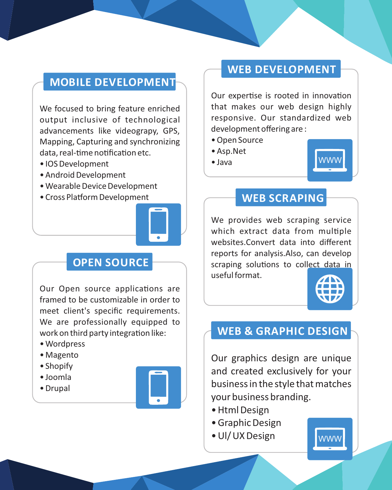#### **MOBILE DEVELOPMENT**

We focused to bring feature enriched output inclusive of technological advancements like videograpy, GPS, Mapping, Capturing and synchronizing data, real-time notification etc.

- IOS Development
- Android Development
- Wearable Device Development
- Cross Platform Development



#### **OPEN SOURCE**

Our Open source applications are framed to be customizable in order to meet client's specific requirements. We are professionally equipped to work on third party integration like:

- Wordpress
- Magento
- Shopify
- Joomla
- Drupal



#### **WEB DEVELOPMENT**

Our expertise is rooted in innovation that makes our web design highly responsive. Our standardized web development offering are :

- Open Source
- Asp.Net
- $•$  Java



#### **WEB SCRAPING**

We provides web scraping service which extract data from multiple websites.Convert data into different reports for analysis.Also, can develop scraping solutions to collect data in useful format.



## **WEB & GRAPHIC DESIGN**

Our graphics design are unique and created exclusively for your business in the style that matches your business branding.

- Html Design
- Graphic Design
- Ul/ UX Design